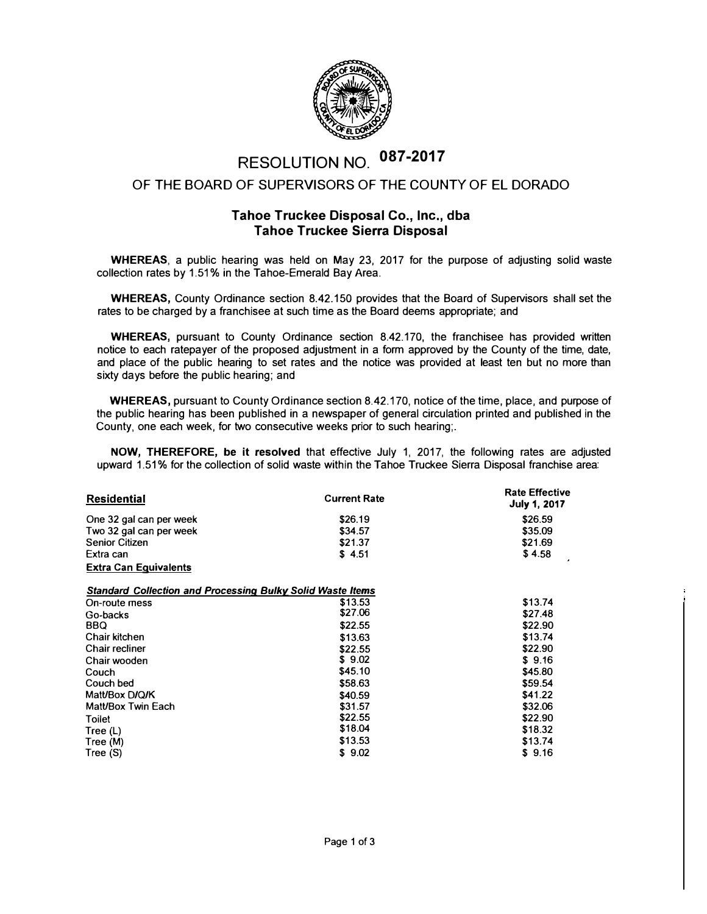

## RESOLUTION NO. **os**7-2**o**<sup>17</sup>

## OF THE BOARD OF SUPERVISORS OF THE COUNTY OF EL DORADO

## **Tahoe Truckee Disposal Co., Inc., dba Tahoe Truckee Sierra Disposal**

**WHEREAS,** a public hearing was held on May 23, 2017 for the purpose of adjusting solid waste collection rates by 1.51% in the Tahoe-Emerald Bay Area.

**WHEREAS,** County Ordinance section 8.42.150 provides that the Board of Supervisors shall set the rates to be charged by a franchisee at such time as the Board deems appropriate; and

**WHEREAS,** pursuant to County Ordinance section 8.42.170, the franchisee has provided written notice to each ratepayer of the proposed adjustment in a form approved by the County of the time, date, and place of the public hearing to set rates and the notice was provided at least ten but no more than sixty days before the public hearing; and

**WHEREAS,** pursuant to County Ordinance section 8.42.170, notice of the time, place, and purpose of the public hearing has been published in a newspaper of general circulation printed and published in the County, one each week, for two consecutive weeks prior to such hearing;.

**NOW, THEREFORE, be it resolved** that effective July 1, 2017, the following rates are adjusted upward 1.51% for the collection of solid waste within the Tahoe Truckee Sierra Disposal franchise area:

| <b>Residential</b>                                                | <b>Current Rate</b> | <b>Rate Effective</b><br><b>July 1, 2017</b> |
|-------------------------------------------------------------------|---------------------|----------------------------------------------|
| One 32 gal can per week                                           | \$26.19             | \$26.59                                      |
| Two 32 gal can per week                                           | \$34.57             | \$35.09                                      |
| <b>Senior Citizen</b>                                             | \$21.37             | \$21.69                                      |
| Extra can                                                         | \$4.51              | \$4.58                                       |
| <b>Extra Can Equivalents</b>                                      |                     |                                              |
| <b>Standard Collection and Processing Bulky Solid Waste Items</b> |                     |                                              |
| On-route mess                                                     | \$13.53             | \$13.74                                      |
| Go-backs                                                          | \$27.06             | \$27.48                                      |
| BBQ                                                               | \$22.55             | \$22.90                                      |
| Chair kitchen                                                     | \$13.63             | \$13.74                                      |
| Chair recliner                                                    | \$22.55             | \$22.90                                      |
| Chair wooden                                                      | \$9.02              | \$9.16                                       |
| Couch                                                             | \$45.10             | \$45.80                                      |
| Couch bed                                                         | \$58.63             | \$59.54                                      |
| Matt/Box D/Q/K                                                    | \$40.59             | \$41.22                                      |
| Matt/Box Twin Each                                                | \$31.57             | \$32.06                                      |
| Toilet                                                            | \$22.55             | \$22.90                                      |
| Tree $(L)$                                                        | \$18.04             | \$18.32                                      |
| Tree (M)                                                          | \$13.53             | \$13.74                                      |
| Tree (S)                                                          | \$9.02              | \$9.16                                       |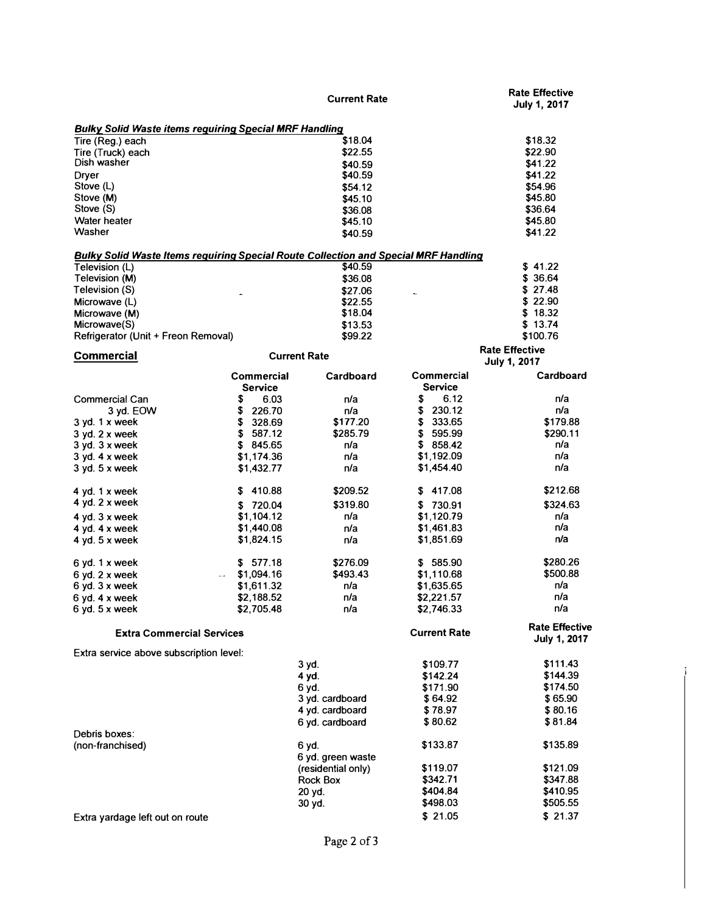|                                                                                            |                | <b>Current Rate</b> |                     | <b>Rate Effective</b><br><b>July 1, 2017</b> |
|--------------------------------------------------------------------------------------------|----------------|---------------------|---------------------|----------------------------------------------|
| <b>Bulky Solid Waste items requiring Special MRF Handling</b>                              |                |                     |                     |                                              |
| Tire (Reg.) each                                                                           |                | \$18.04             |                     | \$18.32                                      |
| Tire (Truck) each                                                                          |                | \$22.55             |                     | \$22.90                                      |
| Dish washer                                                                                |                | \$40.59             |                     | \$41.22                                      |
| <b>Dryer</b>                                                                               |                | \$40.59             |                     | \$41.22                                      |
| Stove (L)                                                                                  |                | \$54.12             |                     | \$54.96                                      |
| Stove (M)                                                                                  |                | \$45.10             |                     | \$45.80                                      |
| Stove (S)                                                                                  |                | \$36.08             |                     | \$36.64                                      |
| Water heater                                                                               |                | \$45.10             |                     | \$45.80                                      |
| Washer                                                                                     |                | \$40.59             |                     | \$41.22                                      |
| <b>Bulky Solid Waste Items requiring Special Route Collection and Special MRF Handling</b> |                |                     |                     |                                              |
| Television (L)                                                                             |                | \$40.59             |                     | \$41.22                                      |
| Television (M)                                                                             |                | \$36.08             |                     | \$36.64                                      |
| Television (S)                                                                             |                | \$27.06             |                     | \$27.48                                      |
| Microwave (L)                                                                              |                | \$22.55             |                     | \$22.90                                      |
| Microwave (M)                                                                              |                | \$18.04             |                     | \$18.32                                      |
| Microwave(S)                                                                               |                | \$13.53             |                     | \$13.74                                      |
| Refrigerator (Unit + Freon Removal)                                                        |                | \$99.22             |                     | \$100.76                                     |
| <b>Commercial</b>                                                                          |                | <b>Current Rate</b> |                     | <b>Rate Effective</b>                        |
|                                                                                            | Commercial     | Cardboard           | Commercial          | <b>July 1, 2017</b><br>Cardboard             |
|                                                                                            | <b>Service</b> |                     | Service             |                                              |
| <b>Commercial Can</b>                                                                      | \$<br>6.03     | n/a                 | \$<br>6.12          | n/a                                          |
| 3 yd. EOW                                                                                  | \$<br>226.70   | n/a                 | \$<br>230.12        | n/a                                          |
| $3$ yd. 1 x week                                                                           | \$<br>328.69   | \$177.20            | \$<br>333.65        | \$179.88                                     |
| 3 yd. 2 x week                                                                             | \$<br>587.12   | \$285.79            | \$<br>595.99        | \$290.11                                     |
| $3$ yd. $3$ x week                                                                         | \$ 845.65      | n/a                 | \$858.42            | n/a                                          |
| $3$ yd. $4 \times$ week                                                                    | \$1,174.36     | n/a                 | \$1,192.09          | n/a                                          |
| $3$ yd. $5$ x week                                                                         | \$1,432.77     | n/a                 | \$1,454.40          | n/a                                          |
| 4 yd. $1 \times$ week                                                                      | \$410.88       | \$209.52            | \$417.08            | \$212.68                                     |
| 4 yd. $2 \times$ week                                                                      | \$720.04       | \$319.80            | \$730.91            | \$324.63                                     |
| 4 yd. $3 \times$ week                                                                      | \$1,104.12     | n/a                 | \$1,120.79          | n/a                                          |
| 4 yd. $4 \times$ week                                                                      | \$1,440.08     | n/a                 | \$1,461.83          | n/a                                          |
| 4 yd. $5x$ week                                                                            | \$1,824.15     | n/a                 | \$1,851.69          | n/a                                          |
| 6 yd. 1 x week                                                                             | \$577.18       | \$276.09            | \$585.90            | \$280.26                                     |
| $6$ yd. $2$ x week                                                                         | \$1,094.16     | \$493.43            | \$1,110.68          | \$500.88                                     |
| $6$ yd. $3$ x week                                                                         | \$1,611.32     | n/a                 | \$1,635.65          | n/a                                          |
|                                                                                            | \$2,188.52     | n/a                 | \$2,221.57          | n/a                                          |
| $6$ yd. $4$ x week<br>$6$ yd. $5x$ week                                                    | \$2,705.48     | n/a                 | \$2,746.33          | n/a                                          |
|                                                                                            |                |                     |                     |                                              |
| <b>Extra Commercial Services</b>                                                           |                |                     | <b>Current Rate</b> | <b>Rate Effective</b><br><b>July 1, 2017</b> |
| Extra service above subscription level:                                                    |                |                     |                     |                                              |
|                                                                                            |                | 3 yd.               | \$109.77            | \$111.43                                     |
|                                                                                            |                | 4 yd.               | \$142.24            | \$144.39                                     |
|                                                                                            |                | 6 yd.               | \$171.90            | \$174.50                                     |
|                                                                                            |                | 3 yd. cardboard     | \$64.92             | \$65.90                                      |
|                                                                                            |                | 4 yd. cardboard     | \$78.97             | \$80.16                                      |
|                                                                                            |                | 6 yd. cardboard     | \$80.62             | \$81.84                                      |
| Debris boxes:                                                                              |                |                     |                     |                                              |
| (non-franchised)                                                                           |                | 6 yd.               | \$133.87            | \$135.89                                     |
|                                                                                            |                | 6 yd. green waste   |                     |                                              |
|                                                                                            |                | (residential only)  | \$119.07            | \$121.09                                     |
|                                                                                            |                | Rock Box            | \$342.71            | \$347.88                                     |
|                                                                                            |                | 20 yd.              | \$404.84            | \$410.95                                     |
|                                                                                            |                | 30 yd.              | \$498.03            | \$505.55                                     |
| Extra yardage left out on route                                                            |                |                     | \$21.05             | \$21.37                                      |